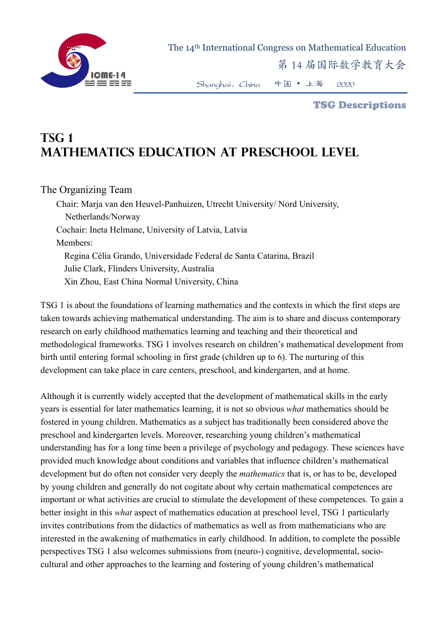

The 14th International Congress on Mathematical Education

第 14 届国际数学教育大会

Shanghai,China 中国 • 上海 2020

TSG Descriptions

# **TSG 1 Mathematics education at preschool level**

## The Organizing Team

Chair: Marja van den Heuvel-Panhuizen, Utrecht University/ Nord University, Netherlands/Norway Cochair: Ineta Helmane, University of Latvia, Latvia Members: Regina Célia Grando, Universidade Federal de Santa Catarina, Brazil Julie Clark, Flinders University, Australia Xin Zhou, East China Normal University, China

TSG 1 is about the foundations of learning mathematics and the contexts in which the first steps are taken towards achieving mathematical understanding. The aim is to share and discuss contemporary research on early childhood mathematics learning and teaching and their theoretical and methodological frameworks. TSG 1 involves research on children's mathematical development from birth until entering formal schooling in first grade (children up to 6). The nurturing of this development can take place in care centers, preschool, and kindergarten, and at home.

Although it is currently widely accepted that the development of mathematical skills in the early years is essential for later mathematics learning, it is not so obvious *what* mathematics should be fostered in young children. Mathematics as a subject has traditionally been considered above the preschool and kindergarten levels. Moreover, researching young children's mathematical understanding has for a long time been a privilege of psychology and pedagogy. These sciences have provided much knowledge about conditions and variables that influence children's mathematical development but do often not consider very deeply the *mathematics* that is, or has to be, developed by young children and generally do not cogitate about why certain mathematical competences are important or what activities are crucial to stimulate the development of these competences. To gain a better insight in this *what* aspect of mathematics education at preschool level, TSG 1 particularly invites contributions from the didactics of mathematics as well as from mathematicians who are interested in the awakening of mathematics in early childhood. In addition, to complete the possible perspectives TSG 1 also welcomes submissions from (neuro-) cognitive, developmental, sociocultural and other approaches to the learning and fostering of young children's mathematical